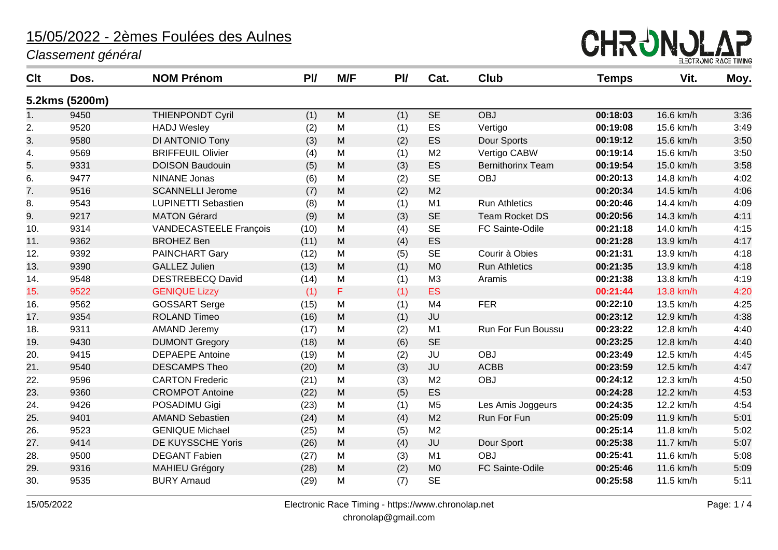*Classement général*



| Clt | Dos.           | <b>NOM Prénom</b>          | P <sub>U</sub> | M/F | P <sub>U</sub> | Cat.           | <b>Club</b>              | <b>Temps</b> | Vit.      | Moy. |
|-----|----------------|----------------------------|----------------|-----|----------------|----------------|--------------------------|--------------|-----------|------|
|     | 5.2kms (5200m) |                            |                |     |                |                |                          |              |           |      |
| 1.  | 9450           | <b>THIENPONDT Cyril</b>    | (1)            | M   | (1)            | <b>SE</b>      | <b>OBJ</b>               | 00:18:03     | 16.6 km/h | 3:36 |
| 2.  | 9520           | <b>HADJ Wesley</b>         | (2)            | M   | (1)            | ES             | Vertigo                  | 00:19:08     | 15.6 km/h | 3:49 |
| 3.  | 9580           | DI ANTONIO Tony            | (3)            | M   | (2)            | ES             | Dour Sports              | 00:19:12     | 15.6 km/h | 3:50 |
| 4.  | 9569           | <b>BRIFFEUIL Olivier</b>   | (4)            | M   | (1)            | M <sub>2</sub> | Vertigo CABW             | 00:19:14     | 15.6 km/h | 3:50 |
| 5.  | 9331           | <b>DOISON Baudouin</b>     | (5)            | M   | (3)            | ES             | <b>Bernithorinx Team</b> | 00:19:54     | 15.0 km/h | 3:58 |
| 6.  | 9477           | <b>NINANE Jonas</b>        | (6)            | M   | (2)            | <b>SE</b>      | <b>OBJ</b>               | 00:20:13     | 14.8 km/h | 4:02 |
| 7.  | 9516           | <b>SCANNELLI Jerome</b>    | (7)            | M   | (2)            | M <sub>2</sub> |                          | 00:20:34     | 14.5 km/h | 4:06 |
| 8.  | 9543           | <b>LUPINETTI Sebastien</b> | (8)            | M   | (1)            | M1             | <b>Run Athletics</b>     | 00:20:46     | 14.4 km/h | 4:09 |
| 9.  | 9217           | <b>MATON Gérard</b>        | (9)            | M   | (3)            | <b>SE</b>      | <b>Team Rocket DS</b>    | 00:20:56     | 14.3 km/h | 4:11 |
| 10. | 9314           | VANDECASTEELE François     | (10)           | M   | (4)            | <b>SE</b>      | FC Sainte-Odile          | 00:21:18     | 14.0 km/h | 4:15 |
| 11. | 9362           | <b>BROHEZ Ben</b>          | (11)           | M   | (4)            | ES             |                          | 00:21:28     | 13.9 km/h | 4:17 |
| 12. | 9392           | <b>PAINCHART Gary</b>      | (12)           | M   | (5)            | <b>SE</b>      | Courir à Obies           | 00:21:31     | 13.9 km/h | 4:18 |
| 13. | 9390           | <b>GALLEZ Julien</b>       | (13)           | M   | (1)            | M <sub>0</sub> | <b>Run Athletics</b>     | 00:21:35     | 13.9 km/h | 4:18 |
| 14. | 9548           | <b>DESTREBECQ David</b>    | (14)           | M   | (1)            | M <sub>3</sub> | Aramis                   | 00:21:38     | 13.8 km/h | 4:19 |
| 15. | 9522           | <b>GENIQUE Lizzy</b>       | (1)            | F   | (1)            | ES             |                          | 00:21:44     | 13.8 km/h | 4:20 |
| 16. | 9562           | <b>GOSSART Serge</b>       | (15)           | M   | (1)            | M <sub>4</sub> | <b>FER</b>               | 00:22:10     | 13.5 km/h | 4:25 |
| 17. | 9354           | <b>ROLAND Timeo</b>        | (16)           | M   | (1)            | JU             |                          | 00:23:12     | 12.9 km/h | 4:38 |
| 18. | 9311           | <b>AMAND Jeremy</b>        | (17)           | M   | (2)            | M <sub>1</sub> | Run For Fun Boussu       | 00:23:22     | 12.8 km/h | 4:40 |
| 19. | 9430           | <b>DUMONT Gregory</b>      | (18)           | M   | (6)            | <b>SE</b>      |                          | 00:23:25     | 12.8 km/h | 4:40 |
| 20. | 9415           | <b>DEPAEPE Antoine</b>     | (19)           | M   | (2)            | JU             | <b>OBJ</b>               | 00:23:49     | 12.5 km/h | 4:45 |
| 21. | 9540           | <b>DESCAMPS Theo</b>       | (20)           | M   | (3)            | JU             | <b>ACBB</b>              | 00:23:59     | 12.5 km/h | 4:47 |
| 22. | 9596           | <b>CARTON Frederic</b>     | (21)           | M   | (3)            | M <sub>2</sub> | <b>OBJ</b>               | 00:24:12     | 12.3 km/h | 4:50 |
| 23. | 9360           | <b>CROMPOT Antoine</b>     | (22)           | M   | (5)            | ES             |                          | 00:24:28     | 12.2 km/h | 4:53 |
| 24. | 9426           | POSADIMU Gigi              | (23)           | M   | (1)            | M <sub>5</sub> | Les Amis Joggeurs        | 00:24:35     | 12.2 km/h | 4:54 |
| 25. | 9401           | <b>AMAND Sebastien</b>     | (24)           | M   | (4)            | M <sub>2</sub> | Run For Fun              | 00:25:09     | 11.9 km/h | 5:01 |
| 26. | 9523           | <b>GENIQUE Michael</b>     | (25)           | M   | (5)            | M <sub>2</sub> |                          | 00:25:14     | 11.8 km/h | 5:02 |
| 27. | 9414           | DE KUYSSCHE Yoris          | (26)           | M   | (4)            | JU             | Dour Sport               | 00:25:38     | 11.7 km/h | 5:07 |
| 28. | 9500           | <b>DEGANT Fabien</b>       | (27)           | M   | (3)            | M1             | <b>OBJ</b>               | 00:25:41     | 11.6 km/h | 5:08 |
| 29. | 9316           | <b>MAHIEU Grégory</b>      | (28)           | M   | (2)            | M <sub>0</sub> | FC Sainte-Odile          | 00:25:46     | 11.6 km/h | 5:09 |
| 30. | 9535           | <b>BURY Arnaud</b>         | (29)           | M   | (7)            | <b>SE</b>      |                          | 00:25:58     | 11.5 km/h | 5:11 |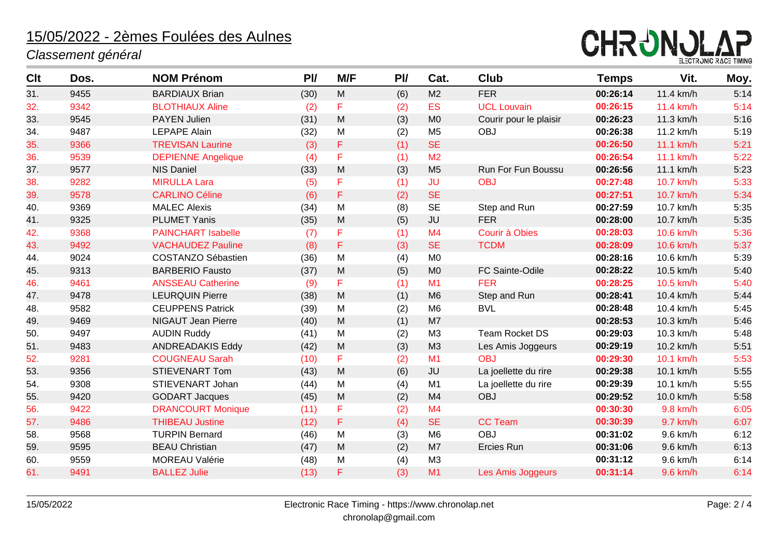#### *Classement général*



| Clt | Dos. | <b>NOM Prénom</b>         | P <sub>U</sub> | M/F       | PI/ | Cat.           | <b>Club</b>            | <b>Temps</b> | Vit.      | Moy. |
|-----|------|---------------------------|----------------|-----------|-----|----------------|------------------------|--------------|-----------|------|
| 31. | 9455 | <b>BARDIAUX Brian</b>     | (30)           | ${\sf M}$ | (6) | M <sub>2</sub> | <b>FER</b>             | 00:26:14     | 11.4 km/h | 5:14 |
| 32. | 9342 | <b>BLOTHIAUX Aline</b>    | (2)            | F         | (2) | <b>ES</b>      | <b>UCL Louvain</b>     | 00:26:15     | 11.4 km/h | 5:14 |
| 33. | 9545 | <b>PAYEN Julien</b>       | (31)           | M         | (3) | M <sub>0</sub> | Courir pour le plaisir | 00:26:23     | 11.3 km/h | 5:16 |
| 34. | 9487 | <b>LEPAPE Alain</b>       | (32)           | M         | (2) | M <sub>5</sub> | <b>OBJ</b>             | 00:26:38     | 11.2 km/h | 5:19 |
| 35. | 9366 | <b>TREVISAN Laurine</b>   | (3)            | F         | (1) | <b>SE</b>      |                        | 00:26:50     | 11.1 km/h | 5:21 |
| 36. | 9539 | <b>DEPIENNE Angelique</b> | (4)            | F         | (1) | M <sub>2</sub> |                        | 00:26:54     | 11.1 km/h | 5:22 |
| 37. | 9577 | <b>NIS Daniel</b>         | (33)           | ${\sf M}$ | (3) | M <sub>5</sub> | Run For Fun Boussu     | 00:26:56     | 11.1 km/h | 5:23 |
| 38. | 9282 | <b>MIRULLA Lara</b>       | (5)            | F         | (1) | <b>JU</b>      | <b>OBJ</b>             | 00:27:48     | 10.7 km/h | 5:33 |
| 39. | 9578 | <b>CARLINO Céline</b>     | (6)            | F         | (2) | <b>SE</b>      |                        | 00:27:51     | 10.7 km/h | 5:34 |
| 40. | 9369 | <b>MALEC Alexis</b>       | (34)           | M         | (8) | <b>SE</b>      | Step and Run           | 00:27:59     | 10.7 km/h | 5:35 |
| 41. | 9325 | <b>PLUMET Yanis</b>       | (35)           | M         | (5) | JU             | <b>FER</b>             | 00:28:00     | 10.7 km/h | 5:35 |
| 42. | 9368 | <b>PAINCHART Isabelle</b> | (7)            | F         | (1) | M <sub>4</sub> | Courir à Obies         | 00:28:03     | 10.6 km/h | 5:36 |
| 43. | 9492 | <b>VACHAUDEZ Pauline</b>  | (8)            | F         | (3) | <b>SE</b>      | <b>TCDM</b>            | 00:28:09     | 10.6 km/h | 5:37 |
| 44. | 9024 | <b>COSTANZO Sébastien</b> | (36)           | M         | (4) | M <sub>0</sub> |                        | 00:28:16     | 10.6 km/h | 5:39 |
| 45. | 9313 | <b>BARBERIO Fausto</b>    | (37)           | ${\sf M}$ | (5) | M <sub>0</sub> | FC Sainte-Odile        | 00:28:22     | 10.5 km/h | 5:40 |
| 46. | 9461 | <b>ANSSEAU Catherine</b>  | (9)            | F         | (1) | M1             | <b>FER</b>             | 00:28:25     | 10.5 km/h | 5:40 |
| 47. | 9478 | <b>LEURQUIN Pierre</b>    | (38)           | M         | (1) | M <sub>6</sub> | Step and Run           | 00:28:41     | 10.4 km/h | 5:44 |
| 48. | 9582 | <b>CEUPPENS Patrick</b>   | (39)           | M         | (2) | M <sub>6</sub> | <b>BVL</b>             | 00:28:48     | 10.4 km/h | 5:45 |
| 49. | 9469 | <b>NIGAUT Jean Pierre</b> | (40)           | M         | (1) | M7             |                        | 00:28:53     | 10.3 km/h | 5:46 |
| 50. | 9497 | <b>AUDIN Ruddy</b>        | (41)           | M         | (2) | M3             | <b>Team Rocket DS</b>  | 00:29:03     | 10.3 km/h | 5:48 |
| 51. | 9483 | <b>ANDREADAKIS Eddy</b>   | (42)           | M         | (3) | M3             | Les Amis Joggeurs      | 00:29:19     | 10.2 km/h | 5:51 |
| 52. | 9281 | <b>COUGNEAU Sarah</b>     | (10)           | F         | (2) | M1             | <b>OBJ</b>             | 00:29:30     | 10.1 km/h | 5:53 |
| 53. | 9356 | <b>STIEVENART Tom</b>     | (43)           | M         | (6) | <b>JU</b>      | La joellette du rire   | 00:29:38     | 10.1 km/h | 5:55 |
| 54. | 9308 | STIEVENART Johan          | (44)           | M         | (4) | M <sub>1</sub> | La joellette du rire   | 00:29:39     | 10.1 km/h | 5:55 |
| 55. | 9420 | <b>GODART Jacques</b>     | (45)           | M         | (2) | M <sub>4</sub> | <b>OBJ</b>             | 00:29:52     | 10.0 km/h | 5:58 |
| 56. | 9422 | <b>DRANCOURT Monique</b>  | (11)           | F         | (2) | M <sub>4</sub> |                        | 00:30:30     | 9.8 km/h  | 6:05 |
| 57. | 9486 | <b>THIBEAU Justine</b>    | (12)           | F         | (4) | <b>SE</b>      | <b>CC Team</b>         | 00:30:39     | 9.7 km/h  | 6:07 |
| 58. | 9568 | <b>TURPIN Bernard</b>     | (46)           | M         | (3) | M <sub>6</sub> | <b>OBJ</b>             | 00:31:02     | 9.6 km/h  | 6:12 |
| 59. | 9595 | <b>BEAU Christian</b>     | (47)           | M         | (2) | M7             | Ercies Run             | 00:31:06     | 9.6 km/h  | 6:13 |
| 60. | 9559 | <b>MOREAU Valérie</b>     | (48)           | M         | (4) | M3             |                        | 00:31:12     | 9.6 km/h  | 6:14 |
| 61. | 9491 | <b>BALLEZ Julie</b>       | (13)           | F         | (3) | M1             | Les Amis Joggeurs      | 00:31:14     | 9.6 km/h  | 6:14 |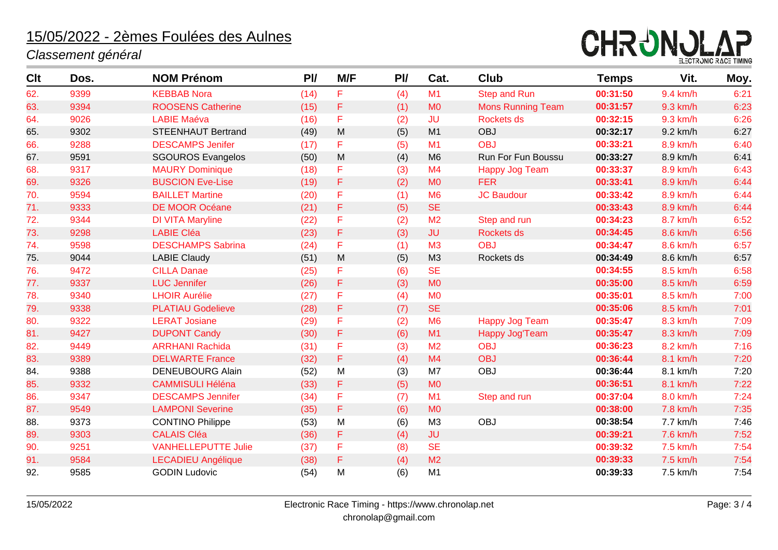#### *Classement général*



| <b>Clt</b> | Dos. | <b>NOM Prénom</b>          | P <sub>U</sub> | M/F       | PI/ | Cat.           | <b>Club</b>              | <b>Temps</b> | Vit.     | Moy. |
|------------|------|----------------------------|----------------|-----------|-----|----------------|--------------------------|--------------|----------|------|
| 62.        | 9399 | <b>KEBBAB Nora</b>         | (14)           | F         | (4) | M1             | <b>Step and Run</b>      | 00:31:50     | 9.4 km/h | 6:21 |
| 63.        | 9394 | <b>ROOSENS Catherine</b>   | (15)           | F         | (1) | M <sub>0</sub> | <b>Mons Running Team</b> | 00:31:57     | 9.3 km/h | 6:23 |
| 64.        | 9026 | <b>LABIE Maéva</b>         | (16)           | F         | (2) | <b>JU</b>      | Rockets ds               | 00:32:15     | 9.3 km/h | 6:26 |
| 65.        | 9302 | <b>STEENHAUT Bertrand</b>  | (49)           | ${\sf M}$ | (5) | M1             | <b>OBJ</b>               | 00:32:17     | 9.2 km/h | 6:27 |
| 66.        | 9288 | <b>DESCAMPS Jenifer</b>    | (17)           | F         | (5) | M1             | <b>OBJ</b>               | 00:33:21     | 8.9 km/h | 6:40 |
| 67.        | 9591 | <b>SGOUROS Evangelos</b>   | (50)           | M         | (4) | M <sub>6</sub> | Run For Fun Boussu       | 00:33:27     | 8.9 km/h | 6:41 |
| 68.        | 9317 | <b>MAURY Dominique</b>     | (18)           | F         | (3) | M <sub>4</sub> | <b>Happy Jog Team</b>    | 00:33:37     | 8.9 km/h | 6:43 |
| 69.        | 9326 | <b>BUSCION Eve-Lise</b>    | (19)           | F         | (2) | <b>MO</b>      | <b>FER</b>               | 00:33:41     | 8.9 km/h | 6:44 |
| 70.        | 9594 | <b>BAILLET Martine</b>     | (20)           | F         | (1) | M <sub>6</sub> | <b>JC Baudour</b>        | 00:33:42     | 8.9 km/h | 6:44 |
| 71.        | 9333 | <b>DE MOOR Océane</b>      | (21)           | F         | (5) | <b>SE</b>      |                          | 00:33:43     | 8.9 km/h | 6:44 |
| 72.        | 9344 | <b>DI VITA Maryline</b>    | (22)           | F         | (2) | M <sub>2</sub> | Step and run             | 00:34:23     | 8.7 km/h | 6:52 |
| 73.        | 9298 | <b>LABIE Cléa</b>          | (23)           | F         | (3) | <b>JU</b>      | Rockets ds               | 00:34:45     | 8.6 km/h | 6:56 |
| 74.        | 9598 | <b>DESCHAMPS Sabrina</b>   | (24)           | F         | (1) | M <sub>3</sub> | <b>OBJ</b>               | 00:34:47     | 8.6 km/h | 6:57 |
| 75.        | 9044 | <b>LABIE Claudy</b>        | (51)           | ${\sf M}$ | (5) | M <sub>3</sub> | Rockets ds               | 00:34:49     | 8.6 km/h | 6:57 |
| 76.        | 9472 | <b>CILLA Danae</b>         | (25)           | F         | (6) | <b>SE</b>      |                          | 00:34:55     | 8.5 km/h | 6:58 |
| 77.        | 9337 | <b>LUC</b> Jennifer        | (26)           | F         | (3) | M <sub>0</sub> |                          | 00:35:00     | 8.5 km/h | 6:59 |
| 78.        | 9340 | <b>LHOIR Aurélie</b>       | (27)           | F         | (4) | M <sub>0</sub> |                          | 00:35:01     | 8.5 km/h | 7:00 |
| 79.        | 9338 | <b>PLATIAU Godelieve</b>   | (28)           | F         | (7) | <b>SE</b>      |                          | 00:35:06     | 8.5 km/h | 7:01 |
| 80.        | 9322 | <b>LERAT Josiane</b>       | (29)           | F         | (2) | M <sub>6</sub> | <b>Happy Jog Team</b>    | 00:35:47     | 8.3 km/h | 7:09 |
| 81.        | 9427 | <b>DUPONT Candy</b>        | (30)           | F         | (6) | M1             | Happy Jog'Team           | 00:35:47     | 8.3 km/h | 7:09 |
| 82.        | 9449 | <b>ARRHANI Rachida</b>     | (31)           | F         | (3) | M <sub>2</sub> | <b>OBJ</b>               | 00:36:23     | 8.2 km/h | 7:16 |
| 83.        | 9389 | <b>DELWARTE France</b>     | (32)           | F         | (4) | M4             | <b>OBJ</b>               | 00:36:44     | 8.1 km/h | 7:20 |
| 84.        | 9388 | <b>DENEUBOURG Alain</b>    | (52)           | M         | (3) | M7             | OBJ                      | 00:36:44     | 8.1 km/h | 7:20 |
| 85.        | 9332 | <b>CAMMISULI Héléna</b>    | (33)           | F         | (5) | M <sub>0</sub> |                          | 00:36:51     | 8.1 km/h | 7:22 |
| 86.        | 9347 | <b>DESCAMPS Jennifer</b>   | (34)           | F         | (7) | M1             | Step and run             | 00:37:04     | 8.0 km/h | 7:24 |
| 87.        | 9549 | <b>LAMPONI Severine</b>    | (35)           | F         | (6) | <b>MO</b>      |                          | 00:38:00     | 7.8 km/h | 7:35 |
| 88.        | 9373 | <b>CONTINO Philippe</b>    | (53)           | M         | (6) | M <sub>3</sub> | OBJ                      | 00:38:54     | 7.7 km/h | 7:46 |
| 89.        | 9303 | <b>CALAIS Cléa</b>         | (36)           | F         | (4) | <b>JU</b>      |                          | 00:39:21     | 7.6 km/h | 7:52 |
| 90.        | 9251 | <b>VANHELLEPUTTE Julie</b> | (37)           | F         | (8) | <b>SE</b>      |                          | 00:39:32     | 7.5 km/h | 7:54 |
| 91.        | 9584 | <b>LECADIEU Angélique</b>  | (38)           | F         | (4) | M <sub>2</sub> |                          | 00:39:33     | 7.5 km/h | 7:54 |
| 92.        | 9585 | <b>GODIN Ludovic</b>       | (54)           | M         | (6) | M1             |                          | 00:39:33     | 7.5 km/h | 7:54 |